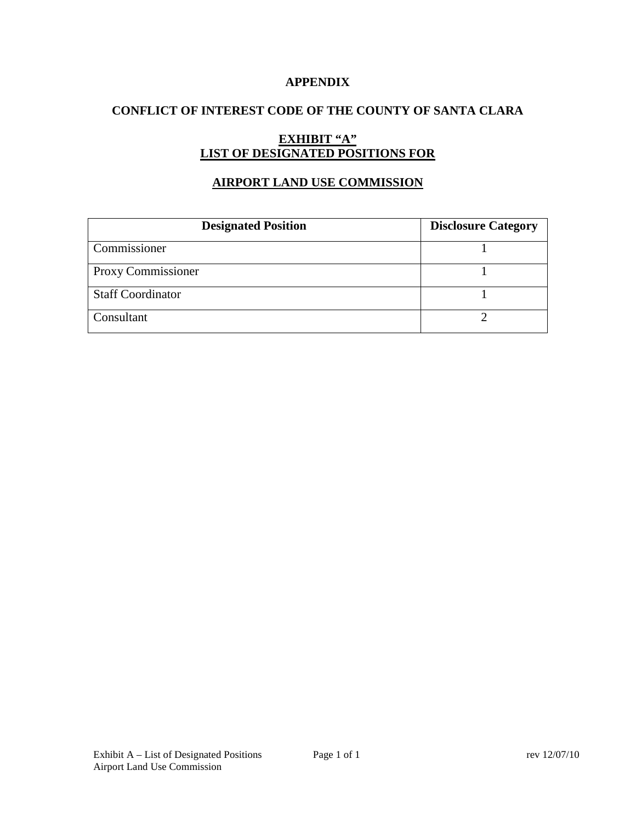### **APPENDIX**

# **CONFLICT OF INTEREST CODE OF THE COUNTY OF SANTA CLARA**

# **EXHIBIT "A" LIST OF DESIGNATED POSITIONS FOR**

# **AIRPORT LAND USE COMMISSION**

| <b>Designated Position</b> | <b>Disclosure Category</b> |
|----------------------------|----------------------------|
| Commissioner               |                            |
| Proxy Commissioner         |                            |
| <b>Staff Coordinator</b>   |                            |
| Consultant                 |                            |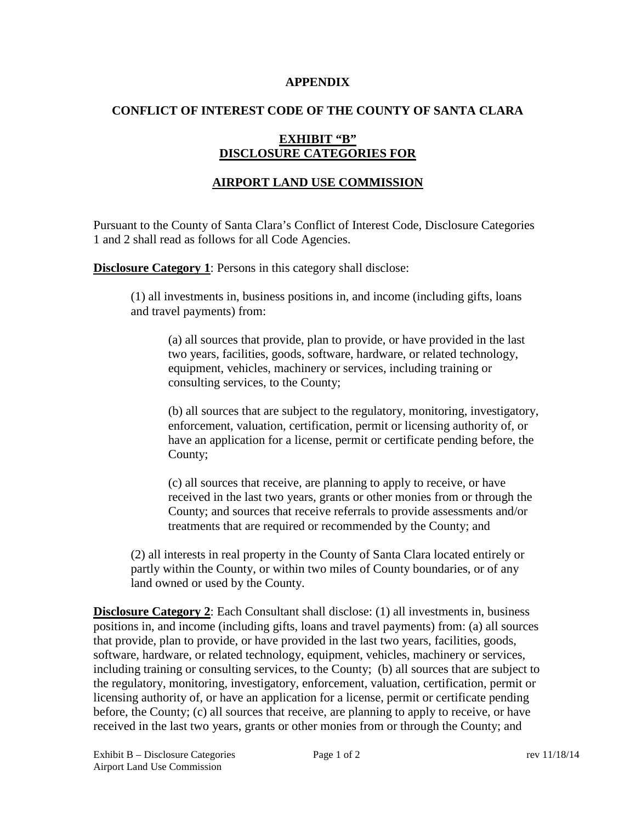#### **APPENDIX**

### **CONFLICT OF INTEREST CODE OF THE COUNTY OF SANTA CLARA**

# **EXHIBIT "B" DISCLOSURE CATEGORIES FOR**

## **AIRPORT LAND USE COMMISSION**

Pursuant to the County of Santa Clara's Conflict of Interest Code, Disclosure Categories 1 and 2 shall read as follows for all Code Agencies.

**Disclosure Category 1:** Persons in this category shall disclose:

(1) all investments in, business positions in, and income (including gifts, loans and travel payments) from:

(a) all sources that provide, plan to provide, or have provided in the last two years, facilities, goods, software, hardware, or related technology, equipment, vehicles, machinery or services, including training or consulting services, to the County;

(b) all sources that are subject to the regulatory, monitoring, investigatory, enforcement, valuation, certification, permit or licensing authority of, or have an application for a license, permit or certificate pending before, the County;

(c) all sources that receive, are planning to apply to receive, or have received in the last two years, grants or other monies from or through the County; and sources that receive referrals to provide assessments and/or treatments that are required or recommended by the County; and

(2) all interests in real property in the County of Santa Clara located entirely or partly within the County, or within two miles of County boundaries, or of any land owned or used by the County.

**Disclosure Category 2**: Each Consultant shall disclose: (1) all investments in, business positions in, and income (including gifts, loans and travel payments) from: (a) all sources that provide, plan to provide, or have provided in the last two years, facilities, goods, software, hardware, or related technology, equipment, vehicles, machinery or services, including training or consulting services, to the County; (b) all sources that are subject to the regulatory, monitoring, investigatory, enforcement, valuation, certification, permit or licensing authority of, or have an application for a license, permit or certificate pending before, the County; (c) all sources that receive, are planning to apply to receive, or have received in the last two years, grants or other monies from or through the County; and